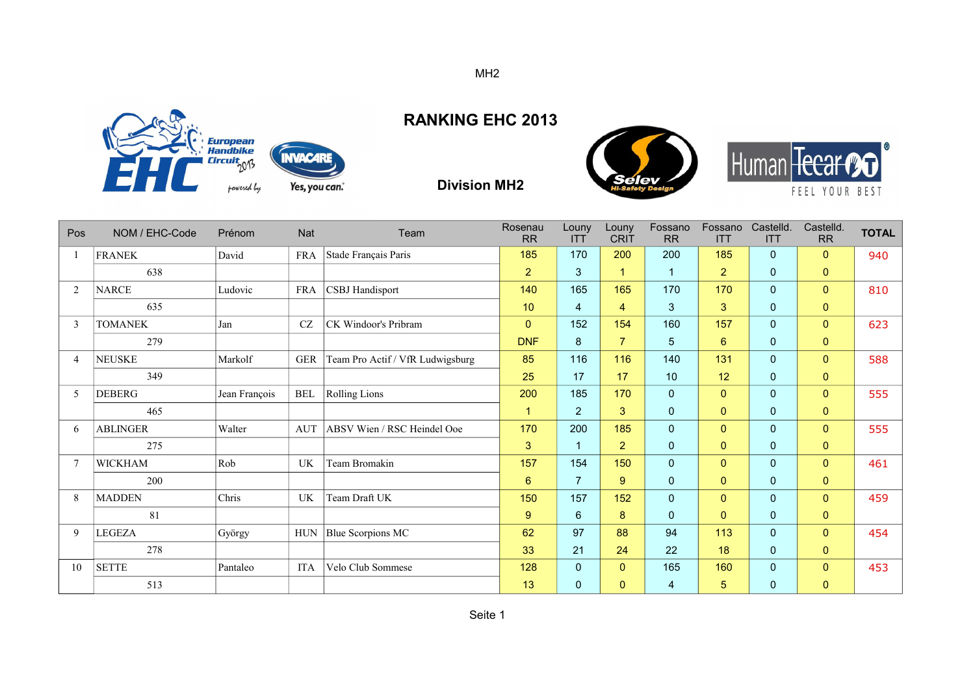

## **RANKING EHC 2013**

**Division MH2**





| Pos            | NOM / EHC-Code  | Prénom        | <b>Nat</b> | Team                             | Rosenau<br><b>RR</b> | Louny<br><b>ITT</b> | Louny<br><b>CRIT</b> | Fossano<br><b>RR</b> | Fossano<br><b>ITT</b> | Castelld.<br><b>ITT</b> | Castelld.<br><b>RR</b> | <b>TOTAL</b> |
|----------------|-----------------|---------------|------------|----------------------------------|----------------------|---------------------|----------------------|----------------------|-----------------------|-------------------------|------------------------|--------------|
|                | <b>FRANEK</b>   | David         | <b>FRA</b> | Stade Français Paris             | 185                  | 170                 | 200                  | 200                  | 185                   | $\mathbf{0}$            | $\Omega$               | 940          |
|                | 638             |               |            |                                  | $\overline{2}$       | 3                   |                      | $\mathbf{1}$         | $\overline{2}$        | $\mathbf{0}$            | $\mathbf{0}$           |              |
| 2              | <b>NARCE</b>    | Ludovic       | <b>FRA</b> | <b>CSBJ</b> Handisport           | 140                  | 165                 | 165                  | 170                  | 170                   | $\mathbf{0}$            | $\overline{0}$         | 810          |
|                | 635             |               |            |                                  | 10                   | 4                   | 4                    | $\mathbf{3}$         | 3                     | $\mathbf 0$             | $\mathbf{0}$           |              |
| 3              | <b>TOMANEK</b>  | Jan           | CZ         | CK Windoor's Pribram             | $\mathbf{0}$         | 152                 | 154                  | 160                  | 157                   | $\mathbf{0}$            | $\mathbf{0}$           | 623          |
|                | 279             |               |            |                                  | <b>DNF</b>           | 8                   | $\overline{7}$       | $\sqrt{5}$           | 6                     | $\mathbf 0$             | $\mathbf{0}$           |              |
| $\overline{4}$ | <b>NEUSKE</b>   | Markolf       | <b>GER</b> | Team Pro Actif / VfR Ludwigsburg | 85                   | 116                 | 116                  | 140                  | 131                   | $\mathbf{0}$            | $\mathbf{0}$           | 588          |
|                | 349             |               |            |                                  | 25                   | 17                  | 17                   | 10                   | 12                    | $\mathbf{0}$            | $\mathbf{0}$           |              |
| 5              | <b>DEBERG</b>   | Jean François | <b>BEL</b> | Rolling Lions                    | 200                  | 185                 | 170                  | $\mathbf 0$          | $\mathbf{0}$          | $\overline{0}$          | $\overline{0}$         | 555          |
|                | 465             |               |            |                                  | $\overline{1}$       | $\overline{2}$      | 3 <sup>1</sup>       | $\mathbf 0$          | $\mathbf{0}$          | $\mathbf 0$             | $\pmb{0}$              |              |
| 6              | <b>ABLINGER</b> | Walter        | <b>AUT</b> | ABSV Wien / RSC Heindel Ooe      | 170                  | 200                 | 185                  | $\mathbf{0}$         | $\Omega$              | $\overline{0}$          | $\overline{0}$         | 555          |
|                | 275             |               |            |                                  | 3                    | $\mathbf{1}$        | $\overline{2}$       | $\mathbf 0$          | $\mathbf{0}$          | $\mathbf{0}$            | $\mathbf{0}$           |              |
| $\overline{7}$ | <b>WICKHAM</b>  | Rob           | UK         | <b>Team Bromakin</b>             | 157                  | 154                 | 150                  | $\mathbf 0$          | $\mathbf{0}$          | $\mathbf{0}$            | $\overline{0}$         | 461          |
|                | 200             |               |            |                                  | 6                    | $\overline{7}$      | 9                    | $\mathbf 0$          | $\mathbf{0}$          | $\mathbf 0$             | $\mathbf{0}$           |              |
| 8              | <b>MADDEN</b>   | Chris         | UK         | Team Draft UK                    | 150                  | 157                 | 152                  | $\mathbf 0$          | $\mathbf{0}$          | $\mathbf{0}$            | $\Omega$               | 459          |
|                | 81              |               |            |                                  | 9                    | 6                   | 8                    | $\mathbf 0$          | $\mathbf{0}$          | $\mathbf{0}$            | $\pmb{0}$              |              |
| 9              | <b>LEGEZA</b>   | György        | <b>HUN</b> | Blue Scorpions MC                | 62                   | 97                  | 88                   | 94                   | 113                   | $\mathbf{0}$            | $\Omega$               | 454          |
|                | 278             |               |            |                                  | 33                   | 21                  | 24                   | 22                   | 18                    | $\mathbf{0}$            | $\mathbf{0}$           |              |
| 10             | <b>SETTE</b>    | Pantaleo      | <b>ITA</b> | Velo Club Sommese                | 128                  | 0                   | $\mathbf{0}$         | 165                  | 160                   | $\mathbf{0}$            | $\mathbf{0}$           | 453          |
|                | 513             |               |            |                                  | 13                   | 0                   | 0                    | 4                    | 5                     | $\overline{0}$          | 0                      |              |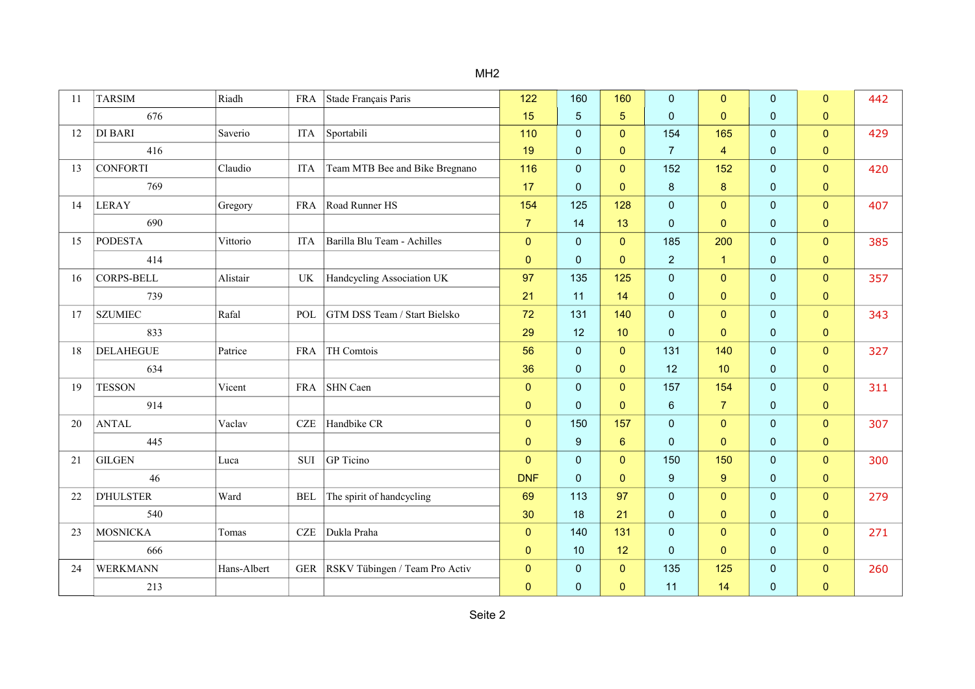| 11 | <b>TARSIM</b>     | Riadh       | <b>FRA</b> | Stade Français Paris           | 122            | 160            | 160            | 0                | $\mathbf{0}$   | $\mathbf{0}$ | $\mathbf{0}$   | 442 |
|----|-------------------|-------------|------------|--------------------------------|----------------|----------------|----------------|------------------|----------------|--------------|----------------|-----|
|    | 676               |             |            |                                | 15             | 5              | $\overline{5}$ | $\pmb{0}$        | $\mathbf{0}$   | $\mathbf 0$  | 0              |     |
| 12 | <b>DI BARI</b>    | Saverio     | <b>ITA</b> | Sportabili                     | 110            | 0              | $\mathbf{0}$   | 154              | 165            | $\mathbf{0}$ | $\mathbf{0}$   | 429 |
|    | 416               |             |            |                                | 19             | 0              | $\pmb{0}$      | $\overline{7}$   | 4              | $\mathbf{0}$ | 0              |     |
| 13 | <b>CONFORTI</b>   | Claudio     | <b>ITA</b> | Team MTB Bee and Bike Bregnano | 116            | 0              | $\mathbf{0}$   | 152              | 152            | $\mathbf 0$  | $\overline{0}$ | 420 |
|    | 769               |             |            |                                | 17             | $\overline{0}$ | $\mathbf{0}$   | $\bf 8$          | 8              | $\mathbf{0}$ | $\mathbf{0}$   |     |
| 14 | <b>LERAY</b>      | Gregory     | <b>FRA</b> | Road Runner HS                 | 154            | 125            | 128            | 0                | $\overline{0}$ | $\mathbf{0}$ | $\mathbf{0}$   | 407 |
|    | 690               |             |            |                                | $\overline{7}$ | 14             | 13             | $\mathbf 0$      | $\mathbf{0}$   | $\mathbf{0}$ | $\mathbf{0}$   |     |
| 15 | <b>PODESTA</b>    | Vittorio    | <b>ITA</b> | Barilla Blu Team - Achilles    | $\mathbf{0}$   | $\overline{0}$ | $\mathbf{0}$   | 185              | 200            | $\mathbf{0}$ | $\mathbf{0}$   | 385 |
|    | 414               |             |            |                                | $\mathbf{0}$   | 0              | $\mathbf{0}$   | $\overline{2}$   | $\mathbf{1}$   | $\mathbf{0}$ | $\mathbf{0}$   |     |
| 16 | <b>CORPS-BELL</b> | Alistair    | UK         | Handcycling Association UK     | 97             | 135            | 125            | 0                | $\mathbf{0}$   | $\mathbf{0}$ | $\mathbf{0}$   | 357 |
|    | 739               |             |            |                                | 21             | 11             | 14             | $\pmb{0}$        | $\mathbf{0}$   | $\mathbf 0$  | 0              |     |
| 17 | <b>SZUMIEC</b>    | Rafal       | POL        | GTM DSS Team / Start Bielsko   | 72             | 131            | 140            | $\mathbf 0$      | $\mathbf{0}$   | $\mathbf 0$  | $\overline{0}$ | 343 |
|    | 833               |             |            |                                | 29             | 12             | 10             | $\pmb{0}$        | $\mathbf{0}$   | $\pmb{0}$    | $\overline{0}$ |     |
| 18 | <b>DELAHEGUE</b>  | Patrice     | <b>FRA</b> | TH Comtois                     | 56             | 0              | $\mathbf{0}$   | 131              | 140            | $\mathbf{0}$ | $\overline{0}$ | 327 |
|    | 634               |             |            |                                | 36             | 0              | $\mathbf{0}$   | 12               | 10             | $\mathbf{0}$ | $\mathbf{0}$   |     |
| 19 | <b>TESSON</b>     | Vicent      | <b>FRA</b> | SHN Caen                       | $\pmb{0}$      | $\overline{0}$ | $\mathbf{0}$   | 157              | 154            | $\mathbf 0$  | $\overline{0}$ | 311 |
|    | 914               |             |            |                                | $\mathbf{0}$   | 0              | $\mathbf{0}$   | $\,6\,$          | $\overline{7}$ | $\mathbf{0}$ | $\mathbf{0}$   |     |
| 20 | <b>ANTAL</b>      | Vaclav      | CZE        | Handbike CR                    | $\mathbf{0}$   | 150            | 157            | 0                | $\mathbf{0}$   | $\mathbf{0}$ | $\mathbf{0}$   | 307 |
|    | 445               |             |            |                                | $\mathbf{0}$   | 9              | $6\phantom{1}$ | $\pmb{0}$        | $\mathbf{0}$   | $\mathbf{0}$ | $\mathbf{0}$   |     |
| 21 | <b>GILGEN</b>     | Luca        | SUI        | GP Ticino                      | $\Omega$       | 0              | $\mathbf{0}$   | 150              | 150            | $\mathbf{0}$ | $\overline{0}$ | 300 |
|    | 46                |             |            |                                | <b>DNF</b>     | $\overline{0}$ | $\mathbf{0}$   | $\boldsymbol{9}$ | 9              | $\mathbf{0}$ | $\mathbf{0}$   |     |
| 22 | <b>D'HULSTER</b>  | Ward        | <b>BEL</b> | The spirit of handcycling      | 69             | 113            | 97             | $\pmb{0}$        | $\mathbf{0}$   | $\mathbf{0}$ | $\mathbf{0}$   | 279 |
|    | 540               |             |            |                                | 30             | 18             | 21             | $\pmb{0}$        | $\mathbf{0}$   | $\mathbf{0}$ | 0              |     |
| 23 | MOSNICKA          | Tomas       | CZE        | Dukla Praha                    | $\mathbf{0}$   | 140            | 131            | 0                | $\mathbf{0}$   | $\mathbf{0}$ | $\mathbf{0}$   | 271 |
|    | 666               |             |            |                                | $\mathbf 0$    | 10             | 12             | $\mathbf 0$      | $\mathbf{0}$   | $\mathbf{0}$ | $\pmb{0}$      |     |
| 24 | WERKMANN          | Hans-Albert | <b>GER</b> | RSKV Tübingen / Team Pro Activ | $\pmb{0}$      | $\overline{0}$ | $\pmb{0}$      | 135              | 125            | $\mathbf 0$  | $\mathbf{0}$   | 260 |
|    | 213               |             |            |                                | $\mathbf{0}$   | 0              | $\mathbf{0}$   | 11               | 14             | $\mathbf 0$  | $\mathbf 0$    |     |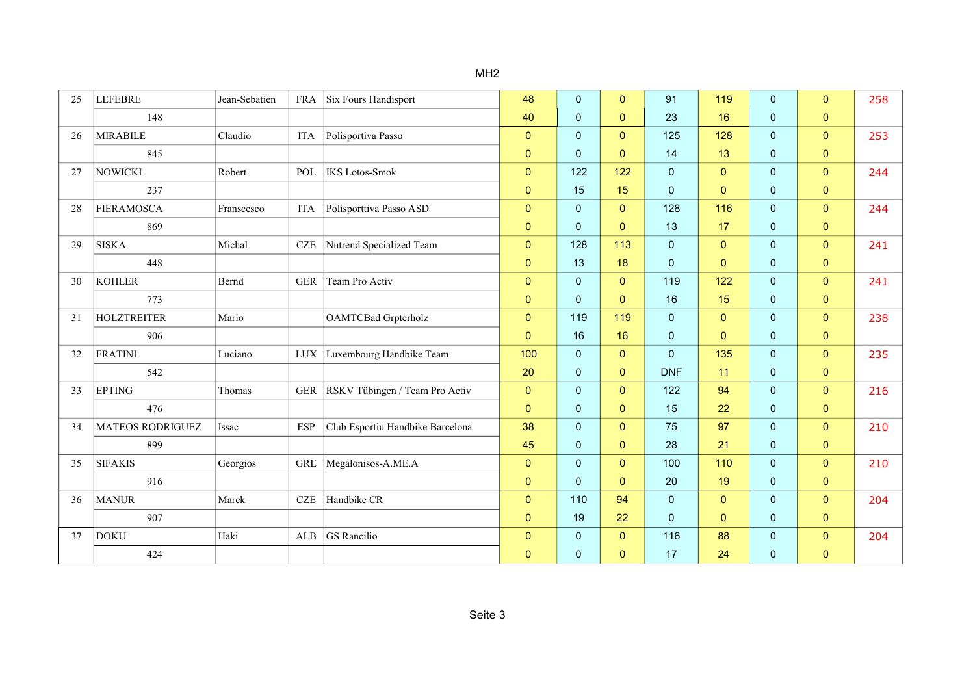| 25 | <b>LEFEBRE</b>          | Jean-Sebatien | <b>FRA</b> | Six Fours Handisport             | 48           | 0              | $\mathbf{0}$ | 91           | 119            | $\Omega$     | $\mathbf{0}$   | 258 |
|----|-------------------------|---------------|------------|----------------------------------|--------------|----------------|--------------|--------------|----------------|--------------|----------------|-----|
|    | 148                     |               |            |                                  | 40           | 0              | $\mathbf{0}$ | 23           | 16             | $\mathbf 0$  | $\mathbf{0}$   |     |
| 26 | <b>MIRABILE</b>         | Claudio       | <b>ITA</b> | Polisportiva Passo               | $\Omega$     | $\overline{0}$ | $\mathbf{0}$ | 125          | 128            | $\mathbf{0}$ | $\overline{0}$ | 253 |
|    | 845                     |               |            |                                  | $\mathbf{0}$ | 0              | $\mathbf{0}$ | 14           | 13             | $\mathbf 0$  | $\overline{0}$ |     |
| 27 | <b>NOWICKI</b>          | Robert        | POL        | <b>IKS</b> Lotos-Smok            | $\mathbf{0}$ | 122            | 122          | $\pmb{0}$    | $\overline{0}$ | $\mathbf 0$  | $\overline{0}$ | 244 |
|    | 237                     |               |            |                                  | $\pmb{0}$    | 15             | 15           | $\mathbf 0$  | $\mathbf{0}$   | $\mathbf 0$  | $\mathbf{0}$   |     |
| 28 | FIERAMOSCA              | Franscesco    | <b>ITA</b> | Polisporttiva Passo ASD          | $\mathbf{0}$ | 0              | $\mathbf{0}$ | 128          | 116            | $\mathbf 0$  | $\mathbf{0}$   | 244 |
|    | 869                     |               |            |                                  | $\mathbf{0}$ | 0              | $\mathbf{0}$ | 13           | 17             | $\mathbf{0}$ | $\mathbf{0}$   |     |
| 29 | <b>SISKA</b>            | Michal        | $CZE$      | Nutrend Specialized Team         | $\mathbf{0}$ | 128            | 113          | $\mathbf 0$  | $\overline{0}$ | $\mathbf{0}$ | $\overline{0}$ | 241 |
|    | 448                     |               |            |                                  | $\mathbf{0}$ | 13             | 18           | $\mathbf 0$  | $\mathbf{0}$   | $\mathbf{0}$ | $\mathbf{0}$   |     |
| 30 | <b>KOHLER</b>           | Bernd         | <b>GER</b> | Team Pro Activ                   | $\mathbf{0}$ | $\Omega$       | $\mathbf{0}$ | 119          | 122            | $\mathbf 0$  | $\overline{0}$ | 241 |
|    | 773                     |               |            |                                  | $\mathbf{0}$ | $\Omega$       | $\mathbf{0}$ | 16           | 15             | $\mathbf{0}$ | $\mathbf{0}$   |     |
| 31 | <b>HOLZTREITER</b>      | Mario         |            | <b>OAMTCBad Grpterholz</b>       | $\mathbf{0}$ | 119            | 119          | $\pmb{0}$    | $\overline{0}$ | $\mathbf 0$  | $\overline{0}$ | 238 |
|    | 906                     |               |            |                                  | $\mathbf{0}$ | 16             | 16           | $\mathbf 0$  | $\mathbf{0}$   | $\mathbf 0$  | $\overline{0}$ |     |
| 32 | FRATINI                 | Luciano       | $LUX$      | Luxembourg Handbike Team         | 100          | 0              | $\mathbf{0}$ | $\mathbf 0$  | 135            | $\mathbf 0$  | $\overline{0}$ | 235 |
|    | 542                     |               |            |                                  | 20           | 0              | $\mathbf{0}$ | <b>DNF</b>   | 11             | $\mathbf{0}$ | $\pmb{0}$      |     |
| 33 | <b>EPTING</b>           | Thomas        | <b>GER</b> | RSKV Tübingen / Team Pro Activ   | $\mathbf{0}$ | $\overline{0}$ | $\mathbf{0}$ | 122          | 94             | $\mathbf{0}$ | $\mathbf{0}$   | 216 |
|    | 476                     |               |            |                                  | $\mathbf{0}$ | 0              | $\mathbf{0}$ | 15           | 22             | $\mathbf{0}$ | $\mathbf{0}$   |     |
| 34 | <b>MATEOS RODRIGUEZ</b> | Issac         | <b>ESP</b> | Club Esportiu Handbike Barcelona | 38           | $\Omega$       | $\mathbf{0}$ | 75           | 97             | $\Omega$     | $\overline{0}$ | 210 |
|    | 899                     |               |            |                                  | 45           | 0              | $\mathbf{0}$ | 28           | 21             | $\mathbf{0}$ | $\mathbf{0}$   |     |
| 35 | <b>SIFAKIS</b>          | Georgios      | <b>GRE</b> | Megalonisos-A.ME.A               | $\mathbf{0}$ | 0              | $\mathbf{0}$ | 100          | 110            | $\mathbf 0$  | $\overline{0}$ | 210 |
|    | 916                     |               |            |                                  | $\mathbf{0}$ | $\Omega$       | $\mathbf{0}$ | 20           | 19             | $\mathbf 0$  | $\mathbf{0}$   |     |
| 36 | <b>MANUR</b>            | Marek         | CZE        | Handbike CR                      | $\mathbf{0}$ | 110            | 94           | $\mathbf{0}$ | $\overline{0}$ | $\mathbf 0$  | $\overline{0}$ | 204 |
|    | 907                     |               |            |                                  | $\mathbf{0}$ | 19             | 22           | $\pmb{0}$    | $\mathbf{0}$   | $\pmb{0}$    | $\pmb{0}$      |     |
| 37 | <b>DOKU</b>             | Haki          | ALB        | GS Rancilio                      | $\mathbf 0$  | 0              | $\mathbf{0}$ | 116          | 88             | $\mathbf 0$  | $\overline{0}$ | 204 |
|    | 424                     |               |            |                                  | $\mathbf{0}$ | 0              | $\mathbf{0}$ | 17           | 24             | $\mathbf 0$  | $\pmb{0}$      |     |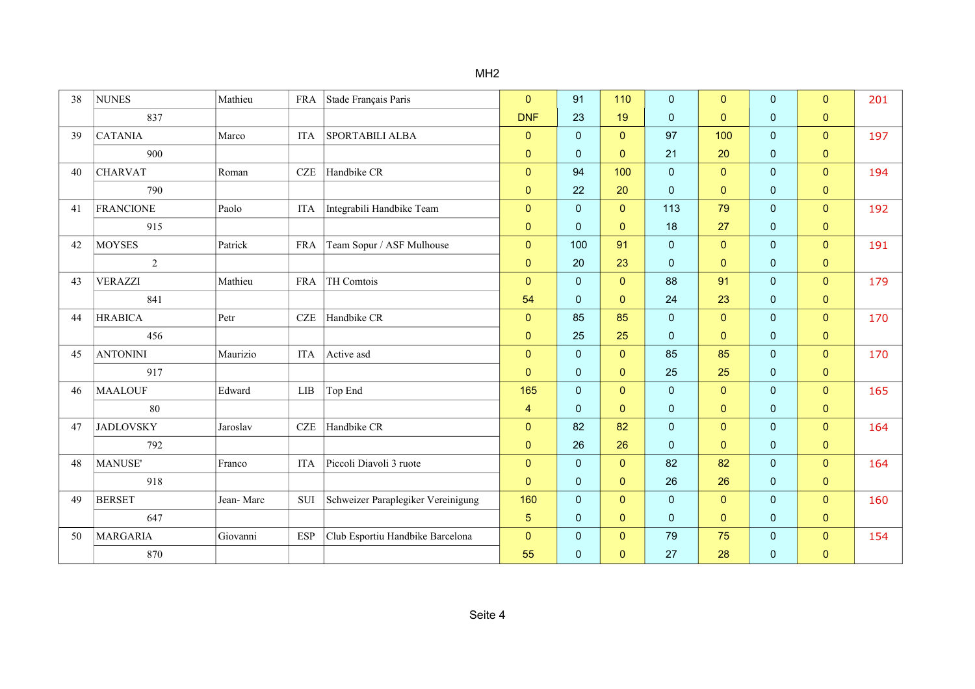| 38 | <b>NUNES</b>     | Mathieu   | <b>FRA</b>  | Stade Français Paris               | $\mathbf{0}$   | 91             | 110            | $\mathbf{0}$ | $\mathbf{0}$   | $\mathbf{0}$ | $\overline{0}$ | 201 |
|----|------------------|-----------|-------------|------------------------------------|----------------|----------------|----------------|--------------|----------------|--------------|----------------|-----|
|    | 837              |           |             |                                    | <b>DNF</b>     | 23             | 19             | $\mathbf 0$  | $\Omega$       | $\mathbf 0$  | $\mathbf{0}$   |     |
| 39 | <b>CATANIA</b>   | Marco     | <b>ITA</b>  | <b>SPORTABILI ALBA</b>             | $\mathbf{0}$   | $\overline{0}$ | $\mathbf{0}$   | 97           | 100            | $\mathbf{0}$ | $\overline{0}$ | 197 |
|    | 900              |           |             |                                    | $\mathbf 0$    | $\mathbf{0}$   | $\mathbf{0}$   | 21           | 20             | $\mathbf{0}$ | $\overline{0}$ |     |
| 40 | <b>CHARVAT</b>   | Roman     | $CZE$       | Handbike CR                        | $\mathbf{0}$   | 94             | 100            | $\pmb{0}$    | $\overline{0}$ | $\mathbf{0}$ | $\overline{0}$ | 194 |
|    | 790              |           |             |                                    | $\mathbf 0$    | 22             | 20             | $\mathbf 0$  | $\mathbf{0}$   | $\mathbf{0}$ | $\overline{0}$ |     |
| 41 | <b>FRANCIONE</b> | Paolo     | ITA         | Integrabili Handbike Team          | $\mathbf{0}$   | $\mathbf 0$    | $\mathbf{0}$   | 113          | 79             | $\mathbf{0}$ | $\overline{0}$ | 192 |
|    | 915              |           |             |                                    | $\mathbf{0}$   | $\mathbf{0}$   | $\mathbf{0}$   | 18           | 27             | $\mathbf{0}$ | $\mathbf 0$    |     |
| 42 | <b>MOYSES</b>    | Patrick   | <b>FRA</b>  | Team Sopur / ASF Mulhouse          | $\mathbf{0}$   | 100            | 91             | $\mathbf 0$  | $\mathbf{0}$   | $\mathbf{0}$ | $\overline{0}$ | 191 |
|    | 2                |           |             |                                    | $\mathbf{0}$   | 20             | 23             | $\mathbf 0$  | $\mathbf{0}$   | $\mathbf{0}$ | 0              |     |
| 43 | <b>VERAZZI</b>   | Mathieu   | <b>FRA</b>  | TH Comtois                         | $\mathbf{0}$   | 0              | $\mathbf{0}$   | 88           | 91             | $\mathbf{0}$ | $\overline{0}$ | 179 |
|    | 841              |           |             |                                    | 54             | $\mathbf{0}$   | $\mathbf{0}$   | 24           | 23             | $\mathbf{0}$ | $\overline{0}$ |     |
| 44 | <b>HRABICA</b>   | Petr      | <b>CZE</b>  | Handbike CR                        | $\mathbf{0}$   | 85             | 85             | $\pmb{0}$    | $\overline{0}$ | $\mathbf{0}$ | $\overline{0}$ | 170 |
|    | 456              |           |             |                                    | $\mathbf 0$    | 25             | 25             | $\mathbf 0$  | $\mathbf{0}$   | $\mathbf{0}$ | $\mathbf{0}$   |     |
| 45 | <b>ANTONINI</b>  | Maurizio  | <b>ITA</b>  | Active asd                         | $\pmb{0}$      | 0              | $\overline{0}$ | 85           | 85             | $\mathbf{0}$ | $\overline{0}$ | 170 |
|    | 917              |           |             |                                    | $\mathbf{0}$   | $\mathbf{0}$   | $\mathbf{0}$   | 25           | 25             | $\mathbf{0}$ | $\mathbf{0}$   |     |
| 46 | <b>MAALOUF</b>   | Edward    | ${\rm LIB}$ | Top End                            | 165            | $\mathbf{0}$   | $\mathbf{0}$   | $\mathbf 0$  | $\mathbf{0}$   | $\mathbf{0}$ | $\mathbf{0}$   | 165 |
|    | 80               |           |             |                                    | 4              | $\mathbf{0}$   | $\mathbf{0}$   | $\mathbf 0$  | $\mathbf{0}$   | $\mathbf{0}$ | $\overline{0}$ |     |
| 47 | <b>JADLOVSKY</b> | Jaroslav  | $CZE$       | Handbike CR                        | $\mathbf{0}$   | 82             | 82             | $\mathbf 0$  | $\mathbf{0}$   | $\mathbf{0}$ | $\overline{0}$ | 164 |
|    | 792              |           |             |                                    | $\mathbf{0}$   | 26             | 26             | $\mathbf 0$  | $\mathbf{0}$   | $\mathbf{0}$ | $\mathbf{0}$   |     |
| 48 | MANUSE'          | Franco    | <b>ITA</b>  | Piccoli Diavoli 3 ruote            | $\mathbf{0}$   | $\overline{0}$ | $\mathbf{0}$   | 82           | 82             | $\mathbf{0}$ | $\overline{0}$ | 164 |
|    | 918              |           |             |                                    | $\mathbf 0$    | $\pmb{0}$      | $\mathbf{0}$   | 26           | 26             | $\mathbf{0}$ | $\mathbf{0}$   |     |
| 49 | <b>BERSET</b>    | Jean-Marc | <b>SUI</b>  | Schweizer Paraplegiker Vereinigung | 160            | $\mathbf{0}$   | $\mathbf{0}$   | $\mathbf 0$  | $\mathbf{0}$   | $\mathbf{0}$ | $\overline{0}$ | 160 |
|    | 647              |           |             |                                    | $\overline{5}$ | $\pmb{0}$      | $\mathbf{0}$   | $\mathbf 0$  | $\mathbf{0}$   | $\mathbf 0$  | $\mathbf{0}$   |     |
| 50 | MARGARIA         | Giovanni  | <b>ESP</b>  | Club Esportiu Handbike Barcelona   | $\mathbf{0}$   | $\overline{0}$ | $\mathbf{0}$   | 79           | 75             | $\mathbf 0$  | $\mathbf{0}$   | 154 |
|    | 870              |           |             |                                    | 55             | 0              | $\mathbf{0}$   | 27           | 28             | $\mathbf{0}$ | $\mathbf{0}$   |     |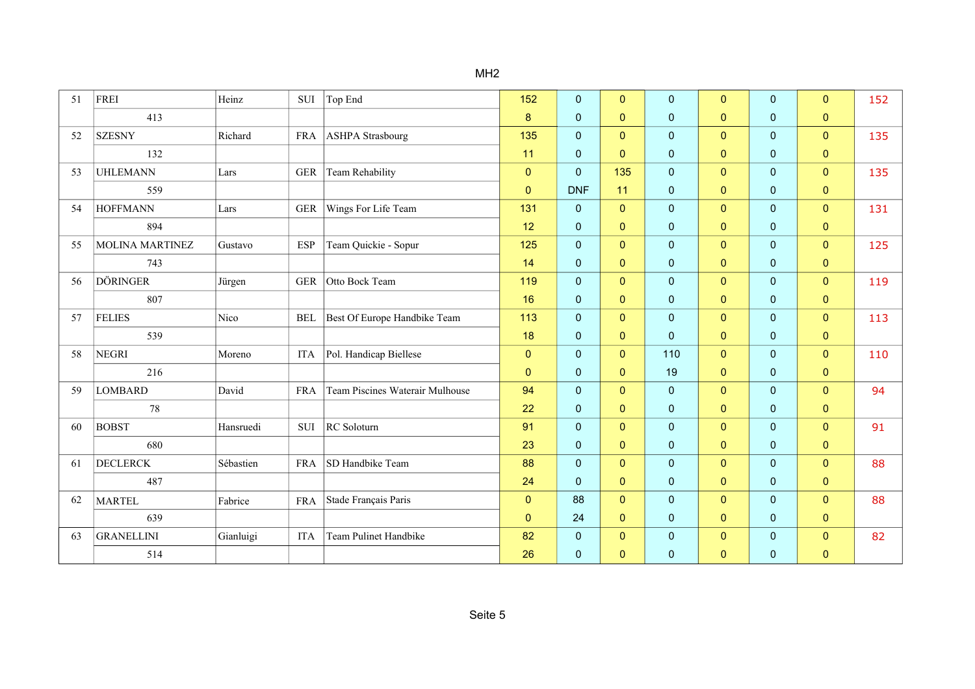| 51 | <b>FREI</b>            | Heinz     | SUI        | Top End                         | 152          | $\overline{0}$ | $\mathbf{0}$ | $\mathbf{0}$ | $\mathbf{0}$   | $\mathbf{0}$ | $\overline{0}$ | 152 |
|----|------------------------|-----------|------------|---------------------------------|--------------|----------------|--------------|--------------|----------------|--------------|----------------|-----|
|    | 413                    |           |            |                                 | 8            | 0              | $\mathbf{0}$ | $\mathbf 0$  | $\mathbf{0}$   | $\mathbf 0$  | $\mathbf{0}$   |     |
| 52 | <b>SZESNY</b>          | Richard   |            | FRA   ASHPA Strasbourg          | 135          | $\overline{0}$ | $\pmb{0}$    | $\mathbf 0$  | $\overline{0}$ | $\mathbf{0}$ | $\overline{0}$ | 135 |
|    | 132                    |           |            |                                 | 11           | 0              | $\mathbf{0}$ | $\pmb{0}$    | $\mathbf{0}$   | $\mathbf{0}$ | $\mathbf{0}$   |     |
| 53 | <b>UHLEMANN</b>        | Lars      | <b>GER</b> | Team Rehability                 | $\pmb{0}$    | $\overline{0}$ | 135          | $\pmb{0}$    | $\overline{0}$ | $\mathbf{0}$ | $\mathbf{0}$   | 135 |
|    | 559                    |           |            |                                 | $\mathbf{0}$ | <b>DNF</b>     | 11           | $\pmb{0}$    | $\mathbf{0}$   | $\mathbf{0}$ | $\mathbf{0}$   |     |
| 54 | <b>HOFFMANN</b>        | Lars      | <b>GER</b> | Wings For Life Team             | 131          | $\mathbf 0$    | $\mathbf{0}$ | $\mathbf 0$  | $\mathbf{0}$   | $\mathbf{0}$ | $\overline{0}$ | 131 |
|    | 894                    |           |            |                                 | 12           | 0              | $\mathbf{0}$ | $\pmb{0}$    | $\mathbf{0}$   | $\mathbf{0}$ | $\mathbf{0}$   |     |
| 55 | <b>MOLINA MARTINEZ</b> | Gustavo   | <b>ESP</b> | Team Quickie - Sopur            | 125          | $\overline{0}$ | $\mathbf{0}$ | $\pmb{0}$    | $\mathbf{0}$   | $\mathbf{0}$ | $\overline{0}$ | 125 |
|    | 743                    |           |            |                                 | 14           | 0              | $\mathbf{0}$ | $\mathbf 0$  | $\mathbf{0}$   | $\mathbf{0}$ | $\mathbf{0}$   |     |
| 56 | <b>DÖRINGER</b>        | Jürgen    | <b>GER</b> | Otto Bock Team                  | 119          | 0              | $\mathbf{0}$ | $\pmb{0}$    | $\mathbf{0}$   | $\mathbf{0}$ | $\mathbf{0}$   | 119 |
|    | 807                    |           |            |                                 | 16           | 0              | $\mathbf{0}$ | $\mathbf 0$  | $\mathbf{0}$   | $\mathbf{0}$ | $\mathbf{0}$   |     |
| 57 | <b>FELIES</b>          | Nico      | <b>BEL</b> | Best Of Europe Handbike Team    | 113          | $\overline{0}$ | $\mathbf{0}$ | 0            | $\mathbf{0}$   | $\mathbf 0$  | $\overline{0}$ | 113 |
|    | 539                    |           |            |                                 | 18           | $\overline{0}$ | $\mathbf{0}$ | $\mathbf 0$  | $\mathbf{0}$   | $\mathbf{0}$ | $\mathbf{0}$   |     |
| 58 | <b>NEGRI</b>           | Moreno    | <b>ITA</b> | Pol. Handicap Biellese          | $\mathbf{0}$ | $\overline{0}$ | $\mathbf{0}$ | 110          | $\mathbf{0}$   | $\mathbf{0}$ | $\overline{0}$ | 110 |
|    | 216                    |           |            |                                 | $\mathbf{0}$ | 0              | $\mathbf{0}$ | 19           | $\mathbf{0}$   | $\mathbf 0$  | $\mathbf{0}$   |     |
| 59 | <b>LOMBARD</b>         | David     | <b>FRA</b> | Team Piscines Waterair Mulhouse | 94           | $\overline{0}$ | $\pmb{0}$    | $\pmb{0}$    | $\overline{0}$ | $\mathbf{0}$ | $\overline{0}$ | 94  |
|    | 78                     |           |            |                                 | 22           | 0              | $\mathbf{0}$ | $\pmb{0}$    | $\mathbf{0}$   | $\mathbf{0}$ | $\mathbf{0}$   |     |
| 60 | <b>BOBST</b>           | Hansruedi | SUI        | RC Soloturn                     | 91           | $\overline{0}$ | $\mathbf{0}$ | $\pmb{0}$    | $\mathbf{0}$   | $\mathbf{0}$ | $\overline{0}$ | 91  |
|    | 680                    |           |            |                                 | 23           | 0              | $\mathbf{0}$ | $\mathbf 0$  | $\mathbf{0}$   | $\mathbf{0}$ | $\mathbf{0}$   |     |
| 61 | <b>DECLERCK</b>        | Sébastien | <b>FRA</b> | SD Handbike Team                | 88           | $\overline{0}$ | $\mathbf{0}$ | $\mathbf 0$  | $\mathbf{0}$   | $\mathbf{0}$ | $\overline{0}$ | 88  |
|    | 487                    |           |            |                                 | 24           | 0              | $\mathbf{0}$ | $\pmb{0}$    | $\mathbf{0}$   | $\mathbf{0}$ | $\mathbf{0}$   |     |
| 62 | MARTEL                 | Fabrice   | <b>FRA</b> | Stade Français Paris            | $\mathbf{0}$ | 88             | $\mathbf{0}$ | 0            | $\overline{0}$ | $\mathbf{0}$ | $\overline{0}$ | 88  |
|    | 639                    |           |            |                                 | $\mathbf{0}$ | 24             | $\mathbf{0}$ | $\pmb{0}$    | $\mathbf{0}$   | $\mathbf 0$  | $\pmb{0}$      |     |
| 63 | <b>GRANELLINI</b>      | Gianluigi | <b>ITA</b> | Team Pulinet Handbike           | 82           | 0              | $\mathbf{0}$ | $\pmb{0}$    | $\mathbf{0}$   | $\mathbf{0}$ | $\mathbf{0}$   | 82  |
|    | 514                    |           |            |                                 | 26           | 0              | $\mathbf{0}$ | $\mathbf 0$  | $\mathbf{0}$   | $\mathbf{0}$ | $\mathbf{0}$   |     |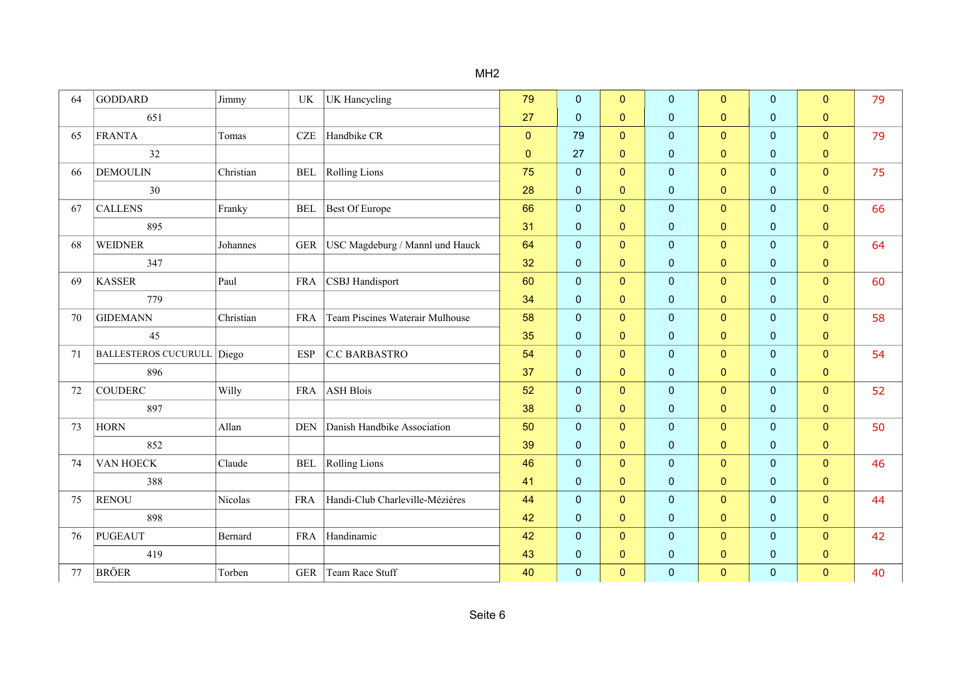| 64 | <b>GODDARD</b>              | Jimmy     | UK                   | UK Hancycling                   | 79           | 0              | $\mathbf{0}$ | $\mathbf 0$  | $\overline{0}$ | $\mathbf{0}$ | $\mathbf{0}$   | 79 |
|----|-----------------------------|-----------|----------------------|---------------------------------|--------------|----------------|--------------|--------------|----------------|--------------|----------------|----|
|    | 651                         |           |                      |                                 | 27           | 0              | $\mathbf{0}$ | $\mathbf{0}$ | $\mathbf{0}$   | $\mathbf 0$  | $\mathbf{0}$   |    |
| 65 | FRANTA                      | Tomas     | $CZE$                | Handbike CR                     | $\mathbf{0}$ | 79             | $\mathbf{0}$ | $\mathbf 0$  | $\mathbf{0}$   | $\mathbf 0$  | $\overline{0}$ | 79 |
|    | 32                          |           |                      |                                 | $\mathbf 0$  | 27             | $\mathbf{0}$ | $\mathbf 0$  | $\mathbf{0}$   | $\mathbf{0}$ | $\mathbf{0}$   |    |
| 66 | <b>DEMOULIN</b>             | Christian | <b>BEL</b>           | <b>Rolling Lions</b>            | 75           | 0              | $\mathbf{0}$ | $\mathbf 0$  | $\mathbf{0}$   | $\mathbf{0}$ | $\mathbf{0}$   | 75 |
|    | 30                          |           |                      |                                 | 28           | 0              | $\mathbf{0}$ | $\pmb{0}$    | $\mathbf{0}$   | $\mathbf{0}$ | $\mathbf{0}$   |    |
| 67 | <b>CALLENS</b>              | Franky    | $\operatorname{BEL}$ | Best Of Europe                  | 66           | 0              | $\mathbf{0}$ | $\mathbf 0$  | $\mathbf{0}$   | $\mathbf{0}$ | $\overline{0}$ | 66 |
|    | 895                         |           |                      |                                 | 31           | 0              | $\mathbf{0}$ | $\mathbf 0$  | $\mathbf{0}$   | $\mathbf{0}$ | $\mathbf{0}$   |    |
| 68 | <b>WEIDNER</b>              | Johannes  | ${\tt GER}$          | USC Magdeburg / Mannl und Hauck | 64           | $\overline{0}$ | $\mathbf{0}$ | $\mathbf 0$  | $\mathbf{0}$   | $\mathbf{0}$ | $\overline{0}$ | 64 |
|    | 347                         |           |                      |                                 | 32           | 0              | $\mathbf{0}$ | $\pmb{0}$    | $\overline{0}$ | $\mathbf 0$  | $\mathbf{0}$   |    |
| 69 | <b>KASSER</b>               | Paul      | <b>FRA</b>           | CSBJ Handisport                 | 60           | 0              | $\mathbf{0}$ | $\mathbf 0$  | $\mathbf{0}$   | $\mathbf{0}$ | $\overline{0}$ | 60 |
|    | 779                         |           |                      |                                 | 34           | 0              | $\Omega$     | $\pmb{0}$    | $\mathbf{0}$   | $\mathbf 0$  | $\mathbf{0}$   |    |
| 70 | <b>GIDEMANN</b>             | Christian | <b>FRA</b>           | Team Piscines Waterair Mulhouse | 58           | $\overline{0}$ | $\mathbf{0}$ | $\mathbf 0$  | $\overline{0}$ | $\mathbf{0}$ | $\mathbf{0}$   | 58 |
|    | 45                          |           |                      |                                 | 35           | 0              | $\mathbf{0}$ | $\pmb{0}$    | $\overline{0}$ | $\mathbf{0}$ | $\mathbf{0}$   |    |
| 71 | <b>BALLESTEROS CUCURULL</b> | Diego     | <b>ESP</b>           | C.C BARBASTRO                   | 54           | 0              | $\mathbf{0}$ | $\pmb{0}$    | $\mathbf{0}$   | $\mathbf 0$  | $\mathbf{0}$   | 54 |
|    | 896                         |           |                      |                                 | 37           | 0              | $\mathbf{0}$ | $\mathbf 0$  | $\mathbf{0}$   | $\mathbf 0$  | $\mathbf{0}$   |    |
| 72 | <b>COUDERC</b>              | Willy     | <b>FRA</b>           | ASH Blois                       | 52           | 0              | $\mathbf{0}$ | $\pmb{0}$    | $\overline{0}$ | $\mathbf{0}$ | $\overline{0}$ | 52 |
|    | 897                         |           |                      |                                 | 38           | 0              | $\mathbf{0}$ | $\pmb{0}$    | $\mathbf{0}$   | $\mathbf 0$  | $\mathbf{0}$   |    |
| 73 | <b>HORN</b>                 | Allan     | <b>DEN</b>           | Danish Handbike Association     | 50           | 0              | $\mathbf{0}$ | $\pmb{0}$    | $\mathbf{0}$   | $\mathbf 0$  | $\mathbf{0}$   | 50 |
|    | 852                         |           |                      |                                 | 39           | 0              | $\mathbf{0}$ | $\pmb{0}$    | $\mathbf{0}$   | $\mathbf 0$  | $\mathbf{0}$   |    |
| 74 | VAN HOECK                   | Claude    | <b>BEL</b>           | <b>Rolling Lions</b>            | 46           | $\overline{0}$ | $\mathbf{0}$ | $\mathbf 0$  | $\overline{0}$ | $\mathbf{0}$ | $\mathbf{0}$   | 46 |
|    | 388                         |           |                      |                                 | 41           | 0              | $\mathbf{0}$ | $\pmb{0}$    | $\mathbf{0}$   | $\mathbf 0$  | $\mathbf 0$    |    |
| 75 | <b>RENOU</b>                | Nicolas   | <b>FRA</b>           | Handi-Club Charleville-Méziéres | 44           | $\overline{0}$ | $\mathbf{0}$ | $\mathbf 0$  | $\overline{0}$ | $\mathbf 0$  | $\mathbf{0}$   | 44 |
|    | 898                         |           |                      |                                 | 42           | 0              | $\mathbf{0}$ | $\pmb{0}$    | $\mathbf{0}$   | $\mathbf{0}$ | $\mathbf{0}$   |    |
| 76 | PUGEAUT                     | Bernard   | <b>FRA</b>           | Handinamic                      | 42           | 0              | $\mathbf{0}$ | $\mathbf 0$  | $\overline{0}$ | $\mathbf 0$  | $\overline{0}$ | 42 |
|    | 419                         |           |                      |                                 | 43           | 0              | $\mathbf{0}$ | $\mathbf 0$  | $\mathbf{0}$   | $\mathbf{0}$ | $\mathbf 0$    |    |
| 77 | <b>BRÖER</b>                | Torben    | <b>GER</b>           | Team Race Stuff                 | 40           | 0              | $\mathbf{0}$ | $\pmb{0}$    | $\mathbf{0}$   | $\mathbf 0$  | $\overline{0}$ | 40 |